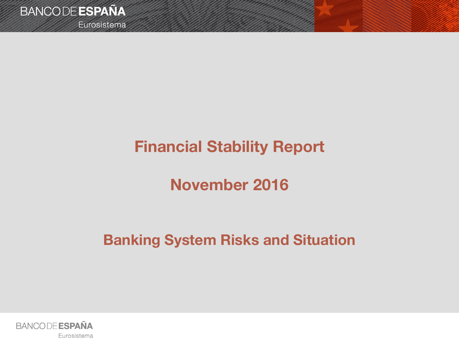Eurosistema

# **Financial Stability Report**

# **November 2016**

# **Banking System Risks and Situation**

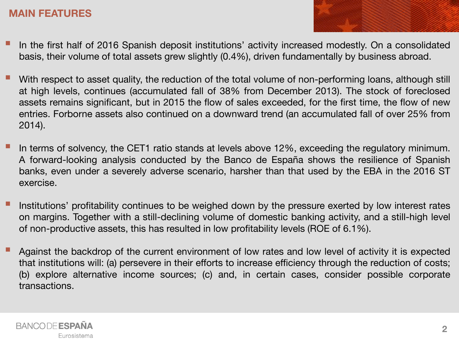- In the first half of <sup>2016</sup> Spanish deposit institutions' activity increased modestly. On <sup>a</sup> consolidated basis, their volume of total assets grew slightly (0.4%), driven fundamentally by business abroad.
- With respect to asset quality, the reduction of the total volume of non-performing loans, although still at high levels, continues (accumulated fall of 38% from December 2013). The stock of foreclosed assets remains significant, but in 2015 the flow of sales exceeded, for the first time, the flow of new entries. Forborne assets also continued on a downward trend (an accumulated fall of over 25% from 2014).
- In terms of solvency, the CET1 ratio stands at levels above 12%, exceeding the regulatory minimum. A forward-looking analysis conducted by the Banco de España shows the resilience of Spanish banks, even under a severely adverse scenario, harsher than that used by the EBA in the 2016 ST exercise.
- Institutions' profitability continues to be weighed down by the pressure exerted by low interest rates on margins. Together with a still-declining volume of domestic banking activity, and a still-high level of non-productive assets, this has resulted in low profitability levels (ROE of 6.1%).
- Against the backdrop of the current environment of low rates and low level of activity it is expected that institutions will: (a) persevere in their efforts to increase efficiency through the reduction of costs; (b) explore alternative income sources; (c) and, in certain cases, consider possible corporate transactions.

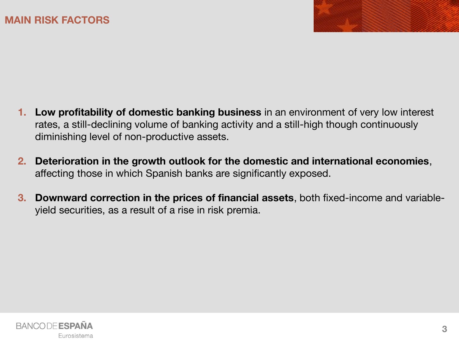- **1. Low profitability of domestic banking business** in an environment of very low interest rates, a still-declining volume of banking activity and a still-high though continuously diminishing level of non-productive assets.
- **2. Deterioration in the growth outlook for the domestic and international economies**, affecting those in which Spanish banks are significantly exposed.
- **3. Downward correction in the prices of financial assets**, both fixed-income and variableyield securities, as a result of a rise in risk premia.

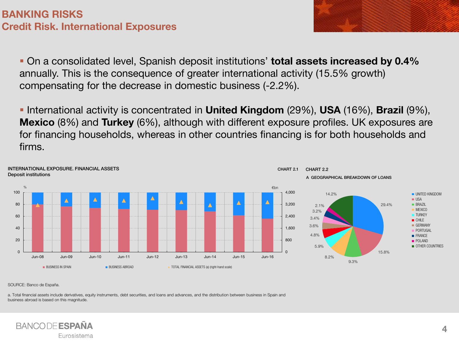On a consolidated level, Spanish deposit institutions' **total assets increased by 0.4%**  annually. This is the consequence of greater international activity (15.5% growth) compensating for the decrease in domestic business (-2.2%).

 International activity is concentrated in **United Kingdom** (29%), **USA** (16%), **Brazil** (9%), **Mexico** (8%) and **Turkey** (6%), although with different exposure profiles. UK exposures are for financing households, whereas in other countries financing is for both households and firms.



SOURCE: Banco de España.

a. Total financial assets include derivatives, equity instruments, debt securities, and loans and advances, and the distribution between business in Spain and business abroad is based on this magnitude.

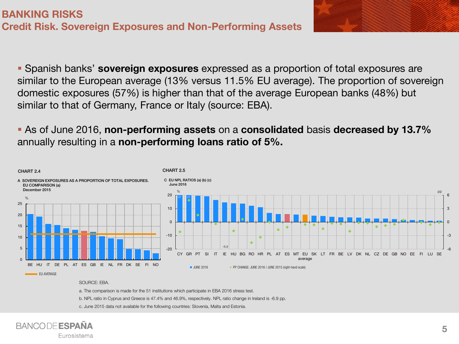Spanish banks' **sovereign exposures** expressed as a proportion of total exposures are similar to the European average (13% versus 11.5% EU average). The proportion of sovereign domestic exposures (57%) is higher than that of the average European banks (48%) but similar to that of Germany, France or Italy (source: EBA).

### As of June 2016, **non-performing assets** on a **consolidated** basis **decreased by 13.7%**  annually resulting in a **non-performing loans ratio of 5%.**



### SOURCE: EBA.

a. The comparison is made for the 51 institutions which participate in EBA 2016 stress test.

b. NPL ratio in Cyprus and Greece is 47.4% and 46.9%, respectively. NPL ratio change in Ireland is -6.9 pp.

c. June 2015 data not available for the following countries: Slovenia, Malta and Estonia.

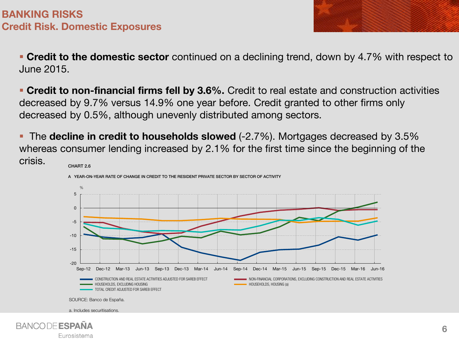**Credit to the domestic sector** continued on a declining trend, down by 4.7% with respect to June 2015.

 **Credit to non-financial firms fell by 3.6%.** Credit to real estate and construction activities decreased by 9.7% versus 14.9% one year before. Credit granted to other firms only decreased by 0.5%, although unevenly distributed among sectors.

 The **decline in credit to households slowed** (-2.7%). Mortgages decreased by 3.5% whereas consumer lending increased by 2.1% for the first time since the beginning of the crisis. CHART 2.6



a. Includes securitisations.

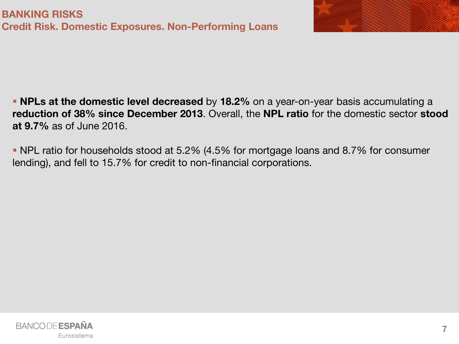

 **NPLs at the domestic level decreased** by **18.2%** on a year-on-year basis accumulating a **reduction of 38% since December 2013**. Overall, the **NPL ratio** for the domestic sector **stood at 9.7%** as of June 2016.

 NPL ratio for households stood at 5.2% (4.5% for mortgage loans and 8.7% for consumer lending), and fell to 15.7% for credit to non-financial corporations.

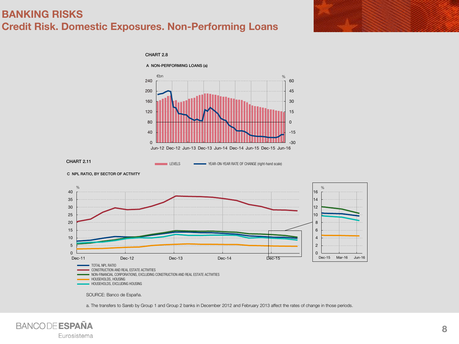### **BANKING RISKS Credit Risk. Domestic Exposures. Non-Performing Loans**

CHART 2.8





C NPL RATIO, BY SECTOR OF ACTIVITY



a. The transfers to Sareb by Group 1 and Group 2 banks in December 2012 and February 2013 affect the rates of change in those periods.

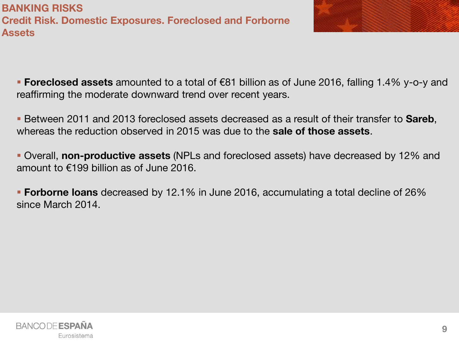**BANKING RISKS Credit Risk. Domestic Exposures. Foreclosed and Forborne Assets**

 **Foreclosed assets** amounted to a total of €81 billion as of June 2016, falling 1.4% y-o-y and reaffirming the moderate downward trend over recent years.

 Between 2011 and 2013 foreclosed assets decreased as a result of their transfer to **Sareb**, whereas the reduction observed in 2015 was due to the **sale of those assets**.

 Overall, **non-productive assets** (NPLs and foreclosed assets) have decreased by 12% and amount to €199 billion as of June 2016.

 **Forborne loans** decreased by 12.1% in June 2016, accumulating a total decline of 26% since March 2014.

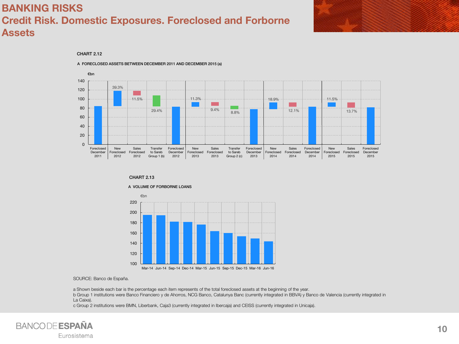## **BANKING RISKS Credit Risk. Domestic Exposures. Foreclosed and Forborne Assets**

### CHART 2.12



A FORECLOSED ASSETS BETWEEN DECEMBER 2011 AND DECEMBER 2015 (a)

### CHART 2.13

#### A VOLUME OF FORBORNE LOANS



#### SOURCE: Banco de España.

a Shown beside each bar is the percentage each item represents of the total foreclosed assets at the beginning of the year. b Group 1 institutions were Banco Financiero y de Ahorros, NCG Banco, Catalunya Banc (currently integrated in BBVA) y Banco de Valencia (currently integrated in La Caixa).

c Group 2 institutions were BMN, Liberbank, Caja3 (currently integrated in Ibercaja) and CEISS (currently integrated in Unicaja).

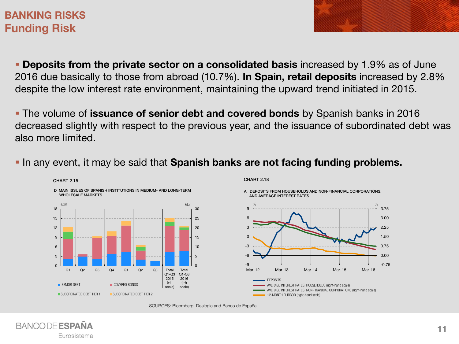## **BANKING RISKS Funding Risk**

**Deposits from the private sector on a consolidated basis** increased by 1.9% as of June 2016 due basically to those from abroad (10.7%). **In Spain, retail deposits** increased by 2.8% despite the low interest rate environment, maintaining the upward trend initiated in 2015.

 The volume of **issuance of senior debt and covered bonds** by Spanish banks in 2016 decreased slightly with respect to the previous year, and the issuance of subordinated debt was also more limited.

In any event, it may be said that **Spanish banks are not facing funding problems.** 

SOURCES: Bloomberg, Dealogic and Banco de España.





A DEPOSITS FROM HOUSEHOLDS AND NON-FINANCIAL CORPORATIONS, AND AVERAGE INTEREST RATES

-0.75 0.00 0.75 1.50 2.25 3.00 3.75

**BANCODE ESPAÑA** Eurosistema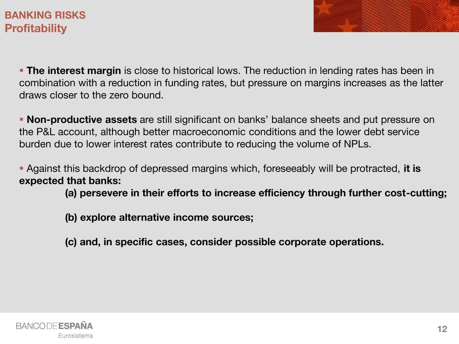# **BANKING RISKS Profitability**

**The interest margin** is close to historical lows. The reduction in lending rates has been in combination with a reduction in funding rates, but pressure on margins increases as the latter draws closer to the zero bound.

 **Non-productive assets** are still significant on banks' balance sheets and put pressure on the P&L account, although better macroeconomic conditions and the lower debt service burden due to lower interest rates contribute to reducing the volume of NPLs.

 Against this backdrop of depressed margins which, foreseeably will be protracted, **it is expected that banks:** 

**(a) persevere in their efforts to increase efficiency through further cost-cutting;**

**(b) explore alternative income sources;** 

**(c) and, in specific cases, consider possible corporate operations.**

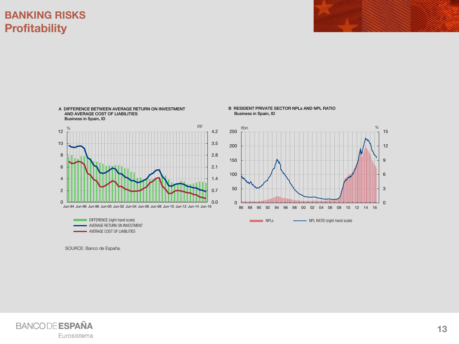# **BANKING RISKS Profitability**



B RESIDENT PRIVATE SECTOR NPLs AND NPL RATIO Business in Spain, ID



SOURCE: Banco de España.

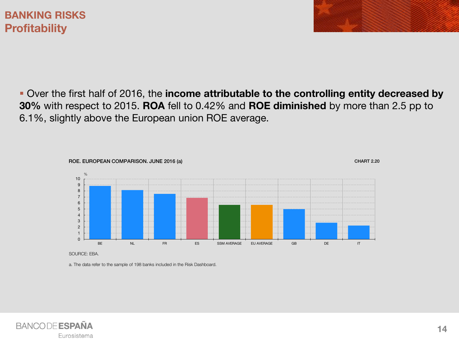Over the first half of 2016, the **income attributable to the controlling entity decreased by 30%** with respect to 2015. **ROA** fell to 0.42% and **ROE diminished** by more than 2.5 pp to 6.1%, slightly above the European union ROE average.



SOURCE: EBA.

a. The data refer to the sample of 198 banks included in the Risk Dashboard.

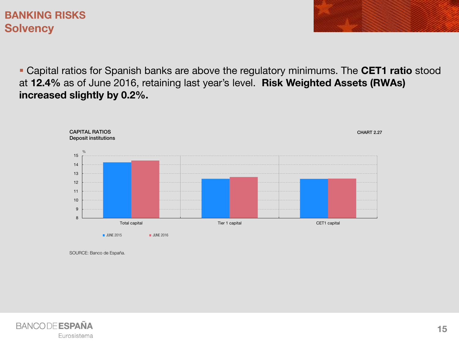# **BANKING RISKS Solvency**

 Capital ratios for Spanish banks are above the regulatory minimums. The **CET1 ratio** stood at **12.4%** as of June 2016, retaining last year's level. **Risk Weighted Assets (RWAs) increased slightly by 0.2%.**



SOURCE: Banco de España.